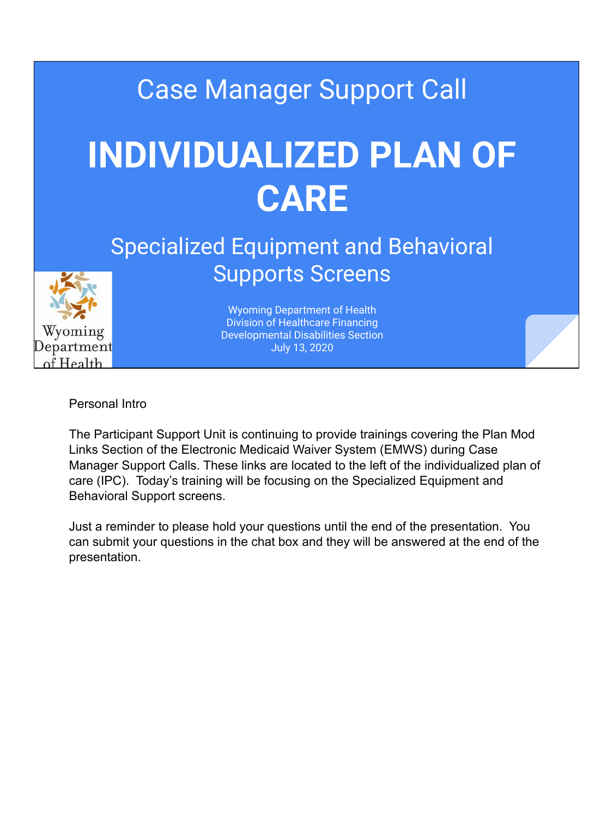#### Case Manager Support Call

# **INDIVIDUALIZED PLAN OF CARE**

#### Specialized Equipment and Behavioral Supports Screens



Wyoming Department of Health Division of Healthcare Financing Developmental Disabilities Section July 13, 2020

Personal Intro

The Participant Support Unit is continuing to provide trainings covering the Plan Mod Links Section of the Electronic Medicaid Waiver System (EMWS) during Case Manager Support Calls. These links are located to the left of the individualized plan of care (IPC). Today's training will be focusing on the Specialized Equipment and Behavioral Support screens.

Just a reminder to please hold your questions until the end of the presentation. You can submit your questions in the chat box and they will be answered at the end of the presentation.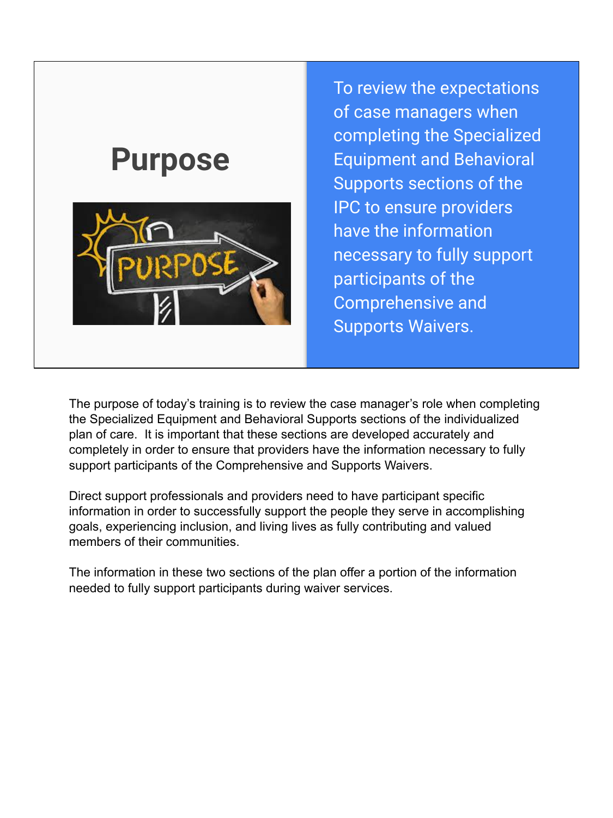## **Purpose**



To review the expectations of case managers when completing the Specialized Equipment and Behavioral Supports sections of the IPC to ensure providers have the information necessary to fully support participants of the Comprehensive and Supports Waivers.

The purpose of today's training is to review the case manager's role when completing the Specialized Equipment and Behavioral Supports sections of the individualized plan of care. It is important that these sections are developed accurately and completely in order to ensure that providers have the information necessary to fully support participants of the Comprehensive and Supports Waivers.

Direct support professionals and providers need to have participant specific information in order to successfully support the people they serve in accomplishing goals, experiencing inclusion, and living lives as fully contributing and valued members of their communities.

The information in these two sections of the plan offer a portion of the information needed to fully support participants during waiver services.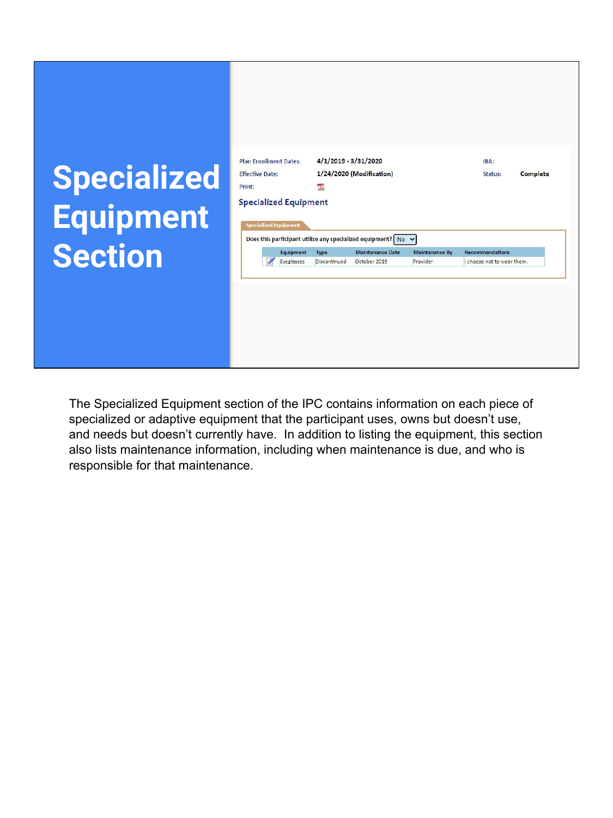# **Specialized Equipment Section**

| 1/24/2020 (Modification)     |                       | Status:                                                            | Complete |
|------------------------------|-----------------------|--------------------------------------------------------------------|----------|
|                              |                       |                                                                    |          |
|                              |                       |                                                                    |          |
| <b>Maintenance Date</b>      | <b>Maintenance By</b> | <b>Recommendations</b>                                             |          |
| Discontinued<br>October 2019 | Provider              | I choose not to wear them.                                         |          |
|                              |                       | Does this participant utilize any specialized equipment? No $\vee$ |          |

The Specialized Equipment section of the IPC contains information on each piece of specialized or adaptive equipment that the participant uses, owns but doesn't use, and needs but doesn't currently have. In addition to listing the equipment, this section also lists maintenance information, including when maintenance is due, and who is responsible for that maintenance.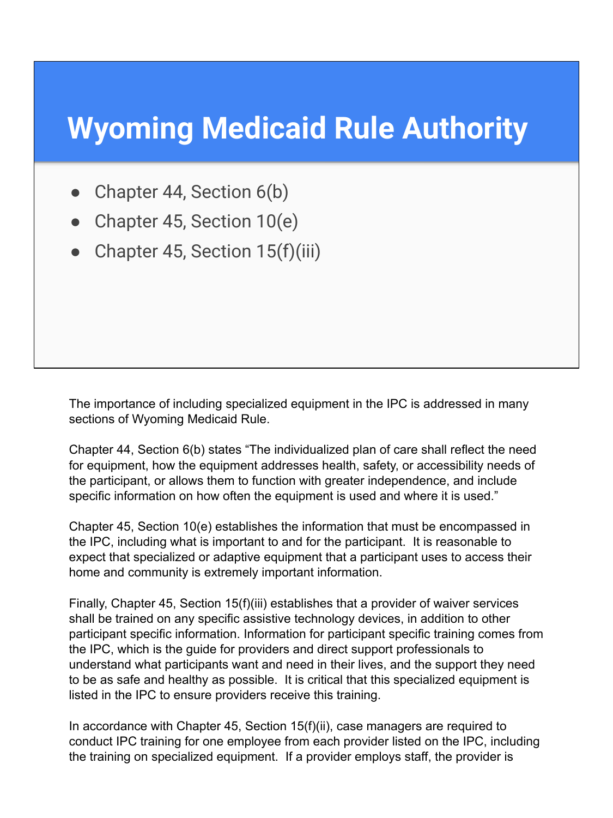### **Wyoming Medicaid Rule Authority**

- Chapter 44, Section 6(b)
- Chapter 45, Section 10(e)
- Chapter 45, Section  $15(f)(iii)$

The importance of including specialized equipment in the IPC is addressed in many sections of Wyoming Medicaid Rule.

Chapter 44, Section 6(b) states "The individualized plan of care shall reflect the need for equipment, how the equipment addresses health, safety, or accessibility needs of the participant, or allows them to function with greater independence, and include specific information on how often the equipment is used and where it is used."

Chapter 45, Section 10(e) establishes the information that must be encompassed in the IPC, including what is important to and for the participant. It is reasonable to expect that specialized or adaptive equipment that a participant uses to access their home and community is extremely important information.

Finally, Chapter 45, Section 15(f)(iii) establishes that a provider of waiver services shall be trained on any specific assistive technology devices, in addition to other participant specific information. Information for participant specific training comes from the IPC, which is the guide for providers and direct support professionals to understand what participants want and need in their lives, and the support they need to be as safe and healthy as possible. It is critical that this specialized equipment is listed in the IPC to ensure providers receive this training.

In accordance with Chapter 45, Section 15(f)(ii), case managers are required to conduct IPC training for one employee from each provider listed on the IPC, including the training on specialized equipment. If a provider employs staff, the provider is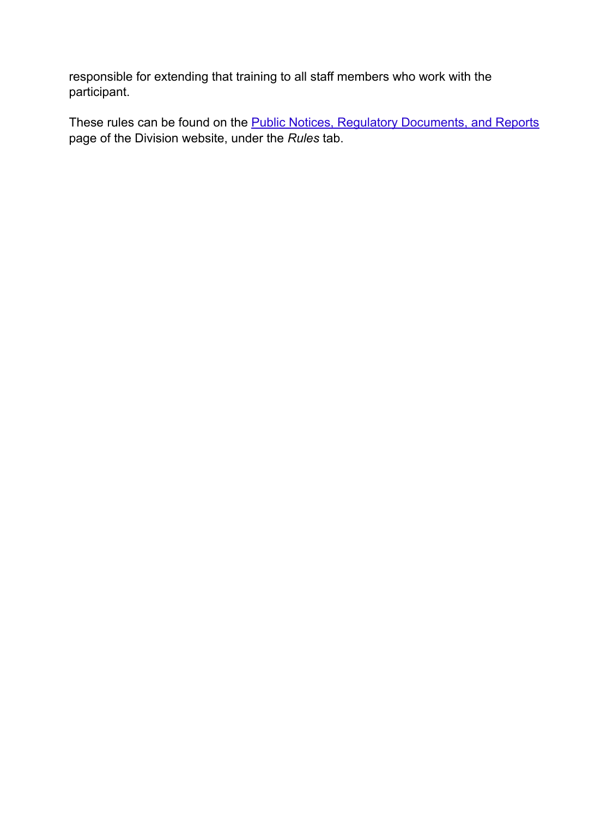responsible for extending that training to all staff members who work with the participant.

These rules can be found on the **Public Notices**, Regulatory Documents, and Reports page of the Division website, under the *Rules* tab.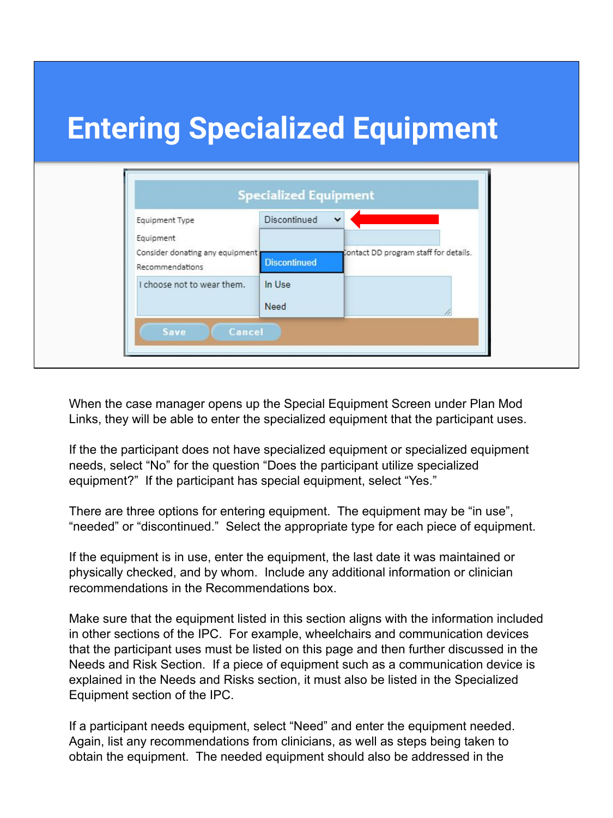## **Entering Specialized Equipment**



When the case manager opens up the Special Equipment Screen under Plan Mod Links, they will be able to enter the specialized equipment that the participant uses.

If the the participant does not have specialized equipment or specialized equipment needs, select "No" for the question "Does the participant utilize specialized equipment?" If the participant has special equipment, select "Yes."

There are three options for entering equipment. The equipment may be "in use", "needed" or "discontinued." Select the appropriate type for each piece of equipment.

If the equipment is in use, enter the equipment, the last date it was maintained or physically checked, and by whom. Include any additional information or clinician recommendations in the Recommendations box.

Make sure that the equipment listed in this section aligns with the information included in other sections of the IPC. For example, wheelchairs and communication devices that the participant uses must be listed on this page and then further discussed in the Needs and Risk Section. If a piece of equipment such as a communication device is explained in the Needs and Risks section, it must also be listed in the Specialized Equipment section of the IPC.

If a participant needs equipment, select "Need" and enter the equipment needed. Again, list any recommendations from clinicians, as well as steps being taken to obtain the equipment. The needed equipment should also be addressed in the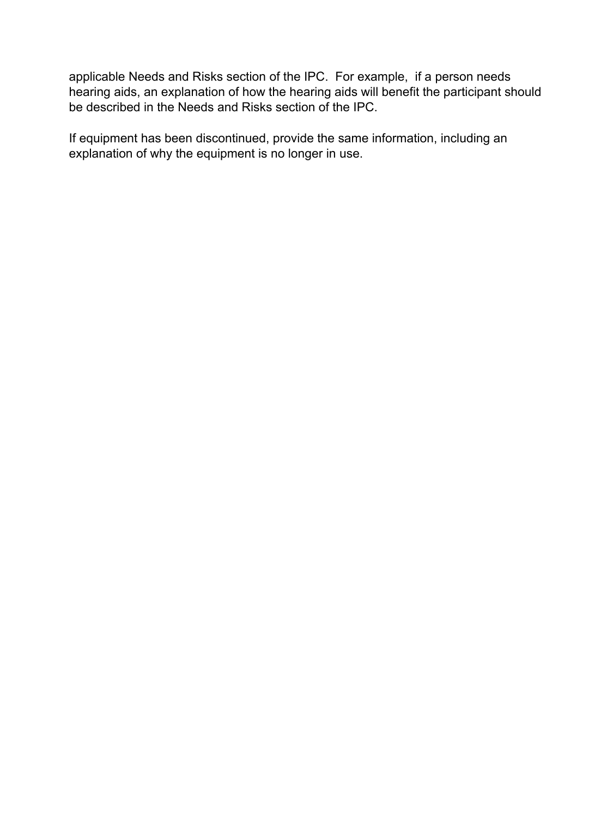applicable Needs and Risks section of the IPC. For example, if a person needs hearing aids, an explanation of how the hearing aids will benefit the participant should be described in the Needs and Risks section of the IPC.

If equipment has been discontinued, provide the same information, including an explanation of why the equipment is no longer in use.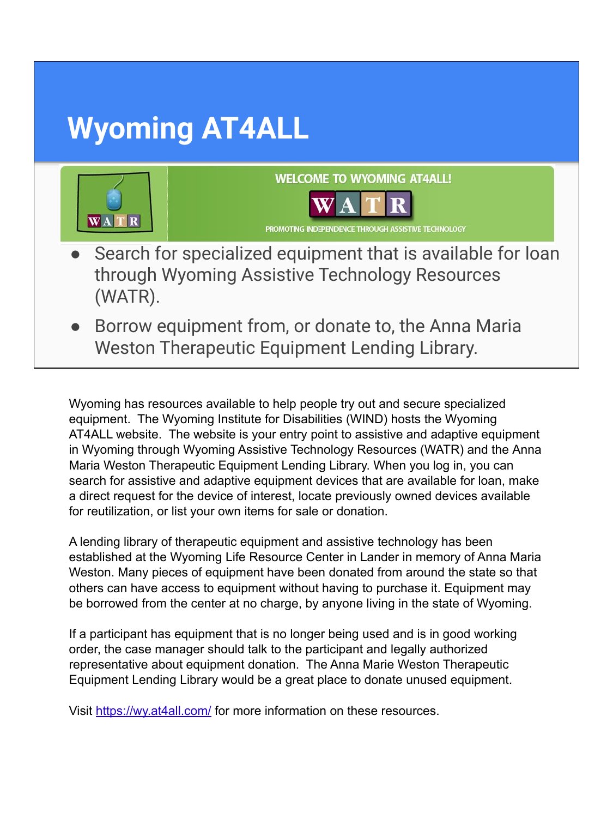## **Wyoming AT4ALL**



- Search for specialized equipment that is available for loan through Wyoming Assistive Technology Resources (WATR).
- Borrow equipment from, or donate to, the Anna Maria Weston Therapeutic Equipment Lending Library.

Wyoming has resources available to help people try out and secure specialized equipment. The Wyoming Institute for Disabilities (WIND) hosts the Wyoming AT4ALL website. The website is your entry point to assistive and adaptive equipment in Wyoming through Wyoming Assistive Technology Resources (WATR) and the Anna Maria Weston Therapeutic Equipment Lending Library. When you log in, you can search for assistive and adaptive equipment devices that are available for loan, make a direct request for the device of interest, locate previously owned devices available for reutilization, or list your own items for sale or donation.

A lending library of therapeutic equipment and assistive technology has been established at the Wyoming Life Resource Center in Lander in memory of Anna Maria Weston. Many pieces of equipment have been donated from around the state so that others can have access to equipment without having to purchase it. Equipment may be borrowed from the center at no charge, by anyone living in the state of Wyoming.

If a participant has equipment that is no longer being used and is in good working order, the case manager should talk to the participant and legally authorized representative about equipment donation. The Anna Marie Weston Therapeutic Equipment Lending Library would be a great place to donate unused equipment.

Visit<https://wy.at4all.com/> for more information on these resources.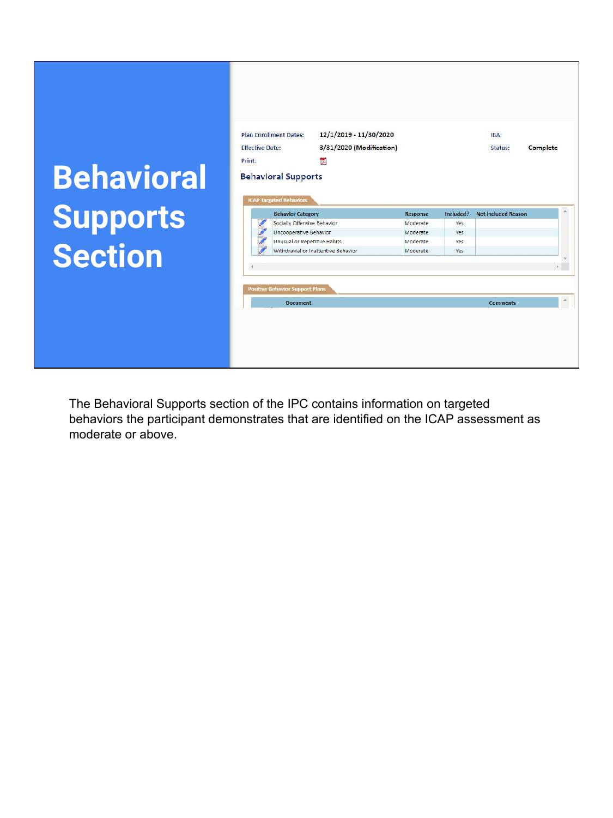# **Behavioral Supports Section**

| <b>Effective Date:</b>                                     | 隱 | 3/31/2020 (Modification) |           | Complete<br>Status:        |  |
|------------------------------------------------------------|---|--------------------------|-----------|----------------------------|--|
| <b>Behavioral Supports</b>                                 |   |                          |           |                            |  |
| <b>ICAP Targeted Behaviors</b><br><b>Behavior Category</b> |   | <b>Response</b>          | Included? | <b>Not included Reason</b> |  |
| Socially Offensive Behavior                                |   | Moderate                 | Yes       |                            |  |
| Uncooperative Behavior                                     |   | Moderate                 | Yes       |                            |  |
| Unusual or Repetitive Habits                               |   | Moderate                 | Yes       |                            |  |
| Withdrawal or Inattentive Behavior                         |   | Moderate                 | Yes       |                            |  |
|                                                            |   |                          |           |                            |  |

The Behavioral Supports section of the IPC contains information on targeted behaviors the participant demonstrates that are identified on the ICAP assessment as moderate or above.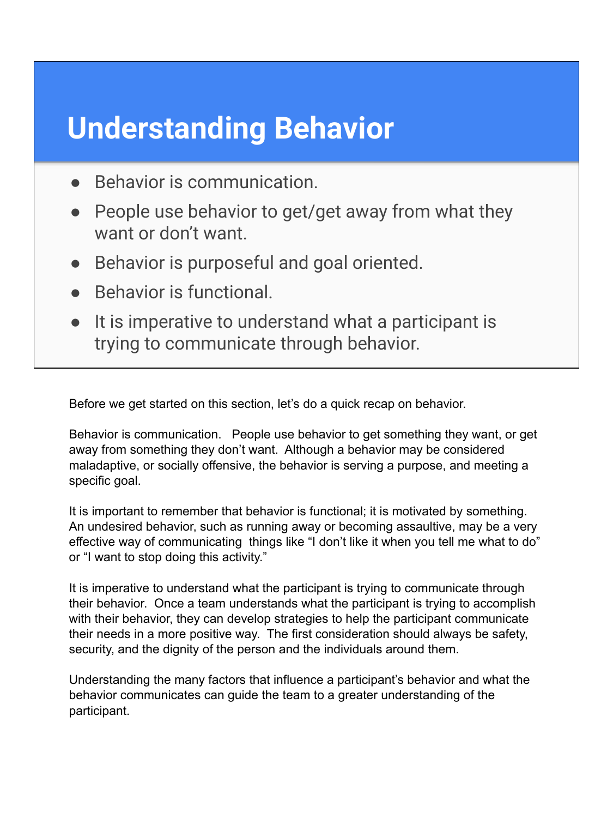## **Understanding Behavior**

- Behavior is communication.
- People use behavior to get/get away from what they want or don't want.
- Behavior is purposeful and goal oriented.
- Behavior is functional
- It is imperative to understand what a participant is trying to communicate through behavior.

Before we get started on this section, let's do a quick recap on behavior.

Behavior is communication. People use behavior to get something they want, or get away from something they don't want. Although a behavior may be considered maladaptive, or socially offensive, the behavior is serving a purpose, and meeting a specific goal.

It is important to remember that behavior is functional; it is motivated by something. An undesired behavior, such as running away or becoming assaultive, may be a very effective way of communicating things like "I don't like it when you tell me what to do" or "I want to stop doing this activity."

It is imperative to understand what the participant is trying to communicate through their behavior. Once a team understands what the participant is trying to accomplish with their behavior, they can develop strategies to help the participant communicate their needs in a more positive way. The first consideration should always be safety, security, and the dignity of the person and the individuals around them.

Understanding the many factors that influence a participant's behavior and what the behavior communicates can guide the team to a greater understanding of the participant.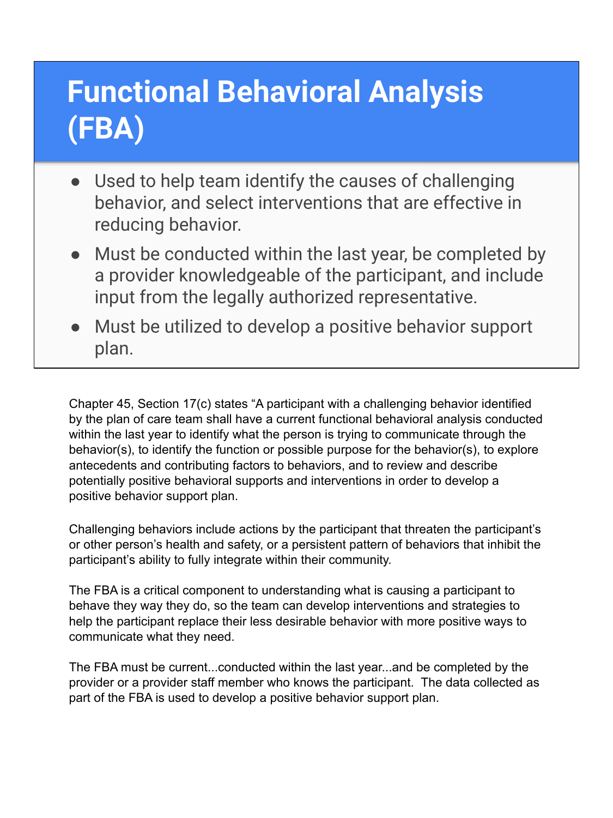## **Functional Behavioral Analysis (FBA)**

- Used to help team identify the causes of challenging behavior, and select interventions that are effective in reducing behavior.
- Must be conducted within the last year, be completed by a provider knowledgeable of the participant, and include input from the legally authorized representative.
- Must be utilized to develop a positive behavior support plan.

Chapter 45, Section 17(c) states "A participant with a challenging behavior identified by the plan of care team shall have a current functional behavioral analysis conducted within the last year to identify what the person is trying to communicate through the behavior(s), to identify the function or possible purpose for the behavior(s), to explore antecedents and contributing factors to behaviors, and to review and describe potentially positive behavioral supports and interventions in order to develop a positive behavior support plan.

Challenging behaviors include actions by the participant that threaten the participant's or other person's health and safety, or a persistent pattern of behaviors that inhibit the participant's ability to fully integrate within their community.

The FBA is a critical component to understanding what is causing a participant to behave they way they do, so the team can develop interventions and strategies to help the participant replace their less desirable behavior with more positive ways to communicate what they need.

The FBA must be current...conducted within the last year...and be completed by the provider or a provider staff member who knows the participant. The data collected as part of the FBA is used to develop a positive behavior support plan.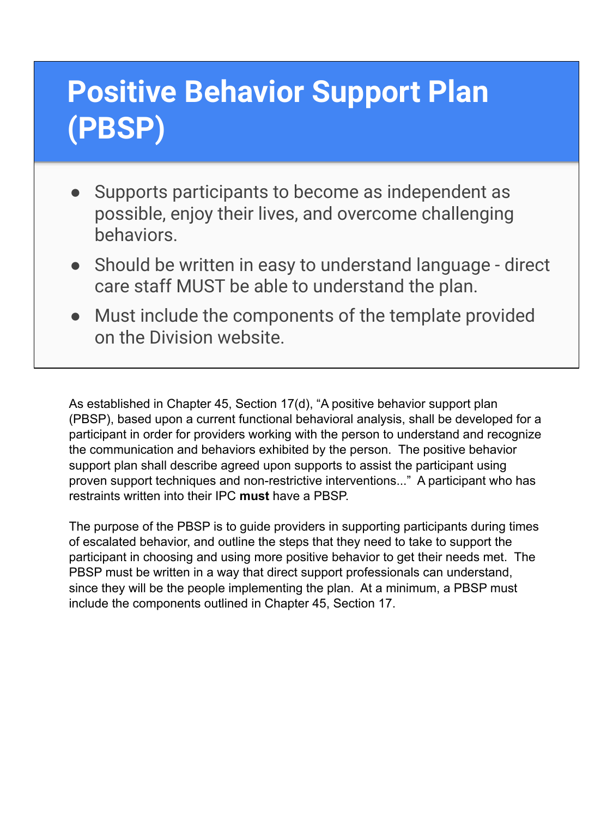## **Positive Behavior Support Plan (PBSP)**

- Supports participants to become as independent as possible, enjoy their lives, and overcome challenging behaviors.
- Should be written in easy to understand language direct care staff MUST be able to understand the plan.
- Must include the components of the template provided on the Division website.

As established in Chapter 45, Section 17(d), "A positive behavior support plan (PBSP), based upon a current functional behavioral analysis, shall be developed for a participant in order for providers working with the person to understand and recognize the communication and behaviors exhibited by the person. The positive behavior support plan shall describe agreed upon supports to assist the participant using proven support techniques and non-restrictive interventions..." A participant who has restraints written into their IPC **must** have a PBSP.

The purpose of the PBSP is to guide providers in supporting participants during times of escalated behavior, and outline the steps that they need to take to support the participant in choosing and using more positive behavior to get their needs met. The PBSP must be written in a way that direct support professionals can understand, since they will be the people implementing the plan. At a minimum, a PBSP must include the components outlined in Chapter 45, Section 17.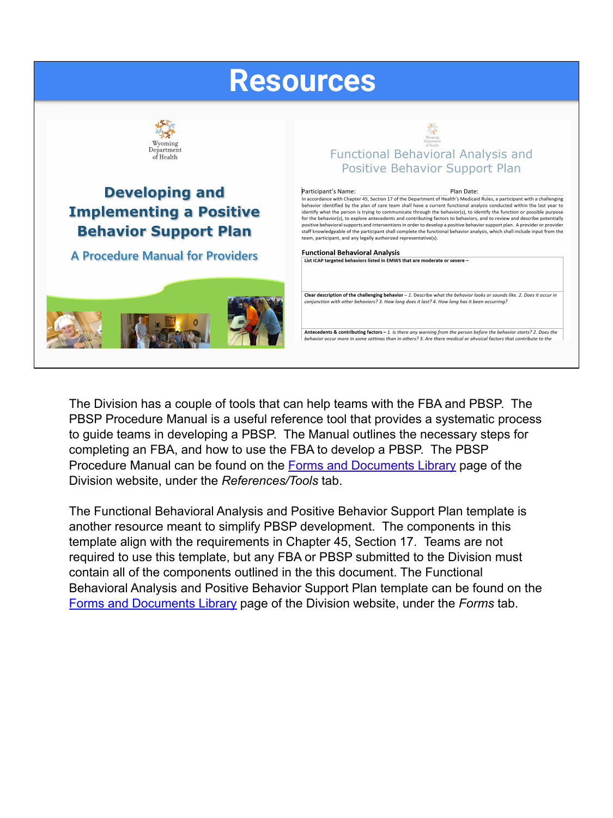#### **Resources**



#### Functional Behavioral Analysis and Positive Behavior Support Plan

Plan Date:

.<br>In accordance with Chapter 45, Section 17 of the Department of Health's Medicaid Rules, a participant with a challenging behavior identified by the plan of care team shall have a current functional analysis conducted within the last year to identify what the person is trying to communicate through the behavior(s), to identify the function or possible purpose<br>for the behavior(s), to explore antecedents and contributing factors to behaviors, and to review and d positive behavioral supports and interventions in order to develop a positive behavior support plan. A provider or provider staff knowledgeable of the participant shall complete the functional behavior analysis, which shall include input from the team, participant, and any legally authorized representative(s).

**Functional Behavioral Analysis** List ICAP targeted behaviors listed in EMWS that are moderate or severe -

Clear description of the challenging behavior  $-1$ . Describe what the behavior looks or sounds like. 2. Does it occur in conjunction with other behaviors? 3. How long does it last? 4. How long has it been occurring?

Antecedents & contributing factors - 1. Is there any warning from the person before the behavior starts? 2. Does the behavior occur more in some settinas than in others? 3. Are there medical or physical factors that contribute to the

The Division has a couple of tools that can help teams with the FBA and PBSP. The PBSP Procedure Manual is a useful reference tool that provides a systematic process to guide teams in developing a PBSP. The Manual outlines the necessary steps for completing an FBA, and how to use the FBA to develop a PBSP. The PBSP Procedure Manual can be found on the [Forms and Documents Library](https://health.wyo.gov/healthcarefin/dd/forms-and-reference-library/) page of the Division website, under the *References/Tools* tab.

The Functional Behavioral Analysis and Positive Behavior Support Plan template is another resource meant to simplify PBSP development. The components in this template align with the requirements in Chapter 45, Section 17. Teams are not required to use this template, but any FBA or PBSP submitted to the Division must contain all of the components outlined in the this document. The Functional Behavioral Analysis and Positive Behavior Support Plan template can be found on the [Forms and Documents Library](https://health.wyo.gov/healthcarefin/dd/forms-and-reference-library/) page of the Division website, under the *Forms* tab.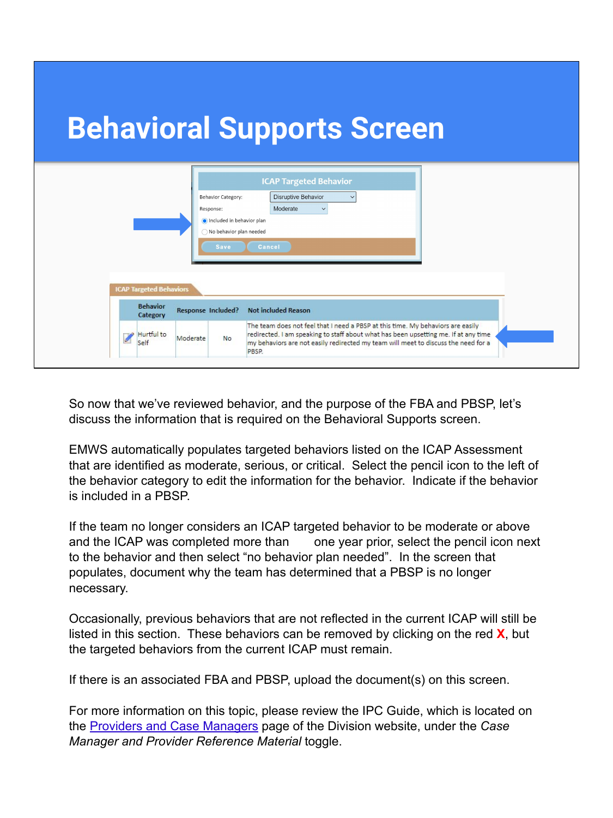|                                                               |                                                                                                 | <b>Behavioral Supports Screen</b>                                                                                                                                                                                                                                     |
|---------------------------------------------------------------|-------------------------------------------------------------------------------------------------|-----------------------------------------------------------------------------------------------------------------------------------------------------------------------------------------------------------------------------------------------------------------------|
|                                                               | Behavior Category:<br>Response:<br>Included in behavior plan<br>No behavior plan needed<br>Save | <b>ICAP Targeted Behavior</b><br>Disruptive Behavior<br>$\checkmark$<br>Moderate<br>Cancel                                                                                                                                                                            |
| <b>ICAP Targeted Behaviors</b><br><b>Behavior</b><br>Category | Response Included?                                                                              | <b>Not included Reason</b>                                                                                                                                                                                                                                            |
| Hurtful to<br>$\mathscr{I}$<br>Self                           | Moderate<br><b>No</b>                                                                           | The team does not feel that I need a PBSP at this time. My behaviors are easily<br>redirected. I am speaking to staff about what has been upsetting me. If at any time<br>my behaviors are not easily redirected my team will meet to discuss the need for a<br>PBSP. |

So now that we've reviewed behavior, and the purpose of the FBA and PBSP, let's discuss the information that is required on the Behavioral Supports screen.

EMWS automatically populates targeted behaviors listed on the ICAP Assessment that are identified as moderate, serious, or critical. Select the pencil icon to the left of the behavior category to edit the information for the behavior. Indicate if the behavior is included in a PBSP.

If the team no longer considers an ICAP targeted behavior to be moderate or above and the ICAP was completed more than one year prior, select the pencil icon next to the behavior and then select "no behavior plan needed". In the screen that populates, document why the team has determined that a PBSP is no longer necessary.

Occasionally, previous behaviors that are not reflected in the current ICAP will still be listed in this section. These behaviors can be removed by clicking on the red **X**, but the targeted behaviors from the current ICAP must remain.

If there is an associated FBA and PBSP, upload the document(s) on this screen.

For more information on this topic, please review the IPC Guide, which is located on the [Providers and Case Managers](https://health.wyo.gov/healthcarefin/dd/providersandcasemanagers/) page of the Division website, under the *Case Manager and Provider Reference Material* toggle.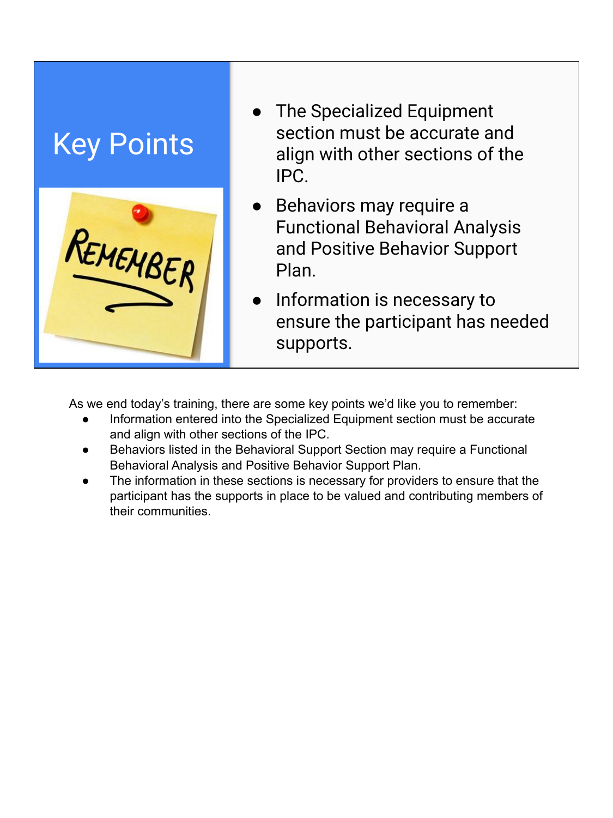# Key Points



- **The Specialized Equipment** section must be accurate and align with other sections of the IPC.
- Behaviors may require a Functional Behavioral Analysis and Positive Behavior Support Plan.
- Information is necessary to ensure the participant has needed supports.

As we end today's training, there are some key points we'd like you to remember:

- Information entered into the Specialized Equipment section must be accurate and align with other sections of the IPC.
- Behaviors listed in the Behavioral Support Section may require a Functional Behavioral Analysis and Positive Behavior Support Plan.
- The information in these sections is necessary for providers to ensure that the participant has the supports in place to be valued and contributing members of their communities.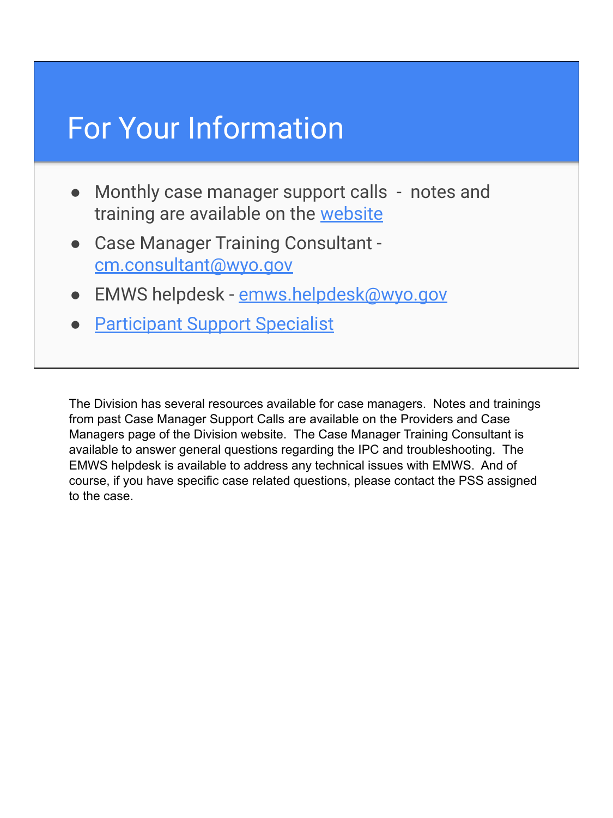## For Your Information

- Monthly case manager support calls notes and training are available on the [website](https://health.wyo.gov/healthcarefin/dd/providersandcasemanagers/)
- Case Manager Training Consultant [cm.consultant@wyo.gov](mailto:cm.consultant@wyo.gov)
- EMWS helpdesk - [emws.helpdesk@wyo.gov](mailto:emws.helpdesk@wyo.gov)
- [Participant Support Specialist](https://health.wyo.gov/healthcarefin/dd/contacts-and-important-links/)

The Division has several resources available for case managers. Notes and trainings from past Case Manager Support Calls are available on the Providers and Case Managers page of the Division website. The Case Manager Training Consultant is available to answer general questions regarding the IPC and troubleshooting. The EMWS helpdesk is available to address any technical issues with EMWS. And of course, if you have specific case related questions, please contact the PSS assigned to the case.